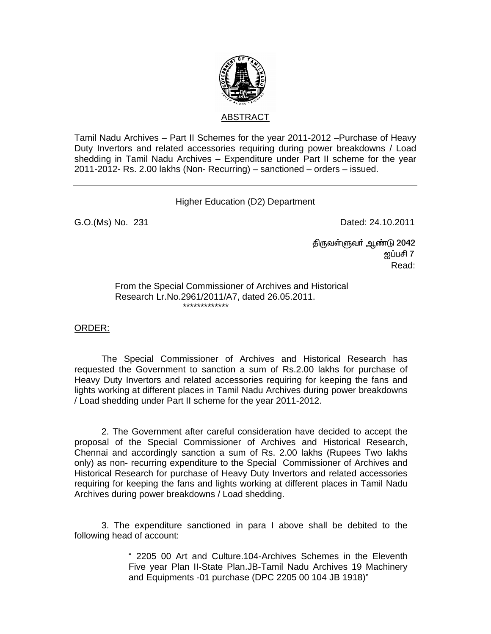

Tamil Nadu Archives – Part II Schemes for the year 2011-2012 –Purchase of Heavy Duty Invertors and related accessories requiring during power breakdowns / Load shedding in Tamil Nadu Archives – Expenditure under Part II scheme for the year 2011-2012- Rs. 2.00 lakhs (Non- Recurring) – sanctioned – orders – issued.

Higher Education (D2) Department

G.O.(Ms) No. 231 **Dated: 24.10.2011** 

 ÂUtŸSt® M©L 2042  $\rm g$ ப்பசி 7  $\rm g$ **Read:** The contract of the contract of the contract of the contract of the contract of the contract of the contract of the contract of the contract of the contract of the contract of the contract of the contract of the co

> From the Special Commissioner of Archives and Historical Research Lr.No.2961/2011/A7, dated 26.05.2011. \*\*\*\*\*\*\*\*\*\*\*\*\*

## ORDER:

 The Special Commissioner of Archives and Historical Research has requested the Government to sanction a sum of Rs.2.00 lakhs for purchase of Heavy Duty Invertors and related accessories requiring for keeping the fans and lights working at different places in Tamil Nadu Archives during power breakdowns / Load shedding under Part II scheme for the year 2011-2012.

 2. The Government after careful consideration have decided to accept the proposal of the Special Commissioner of Archives and Historical Research, Chennai and accordingly sanction a sum of Rs. 2.00 lakhs (Rupees Two lakhs only) as non- recurring expenditure to the Special Commissioner of Archives and Historical Research for purchase of Heavy Duty Invertors and related accessories requiring for keeping the fans and lights working at different places in Tamil Nadu Archives during power breakdowns / Load shedding.

 3. The expenditure sanctioned in para I above shall be debited to the following head of account:

> " 2205 00 Art and Culture.104-Archives Schemes in the Eleventh Five year Plan II-State Plan.JB-Tamil Nadu Archives 19 Machinery and Equipments -01 purchase (DPC 2205 00 104 JB 1918)"